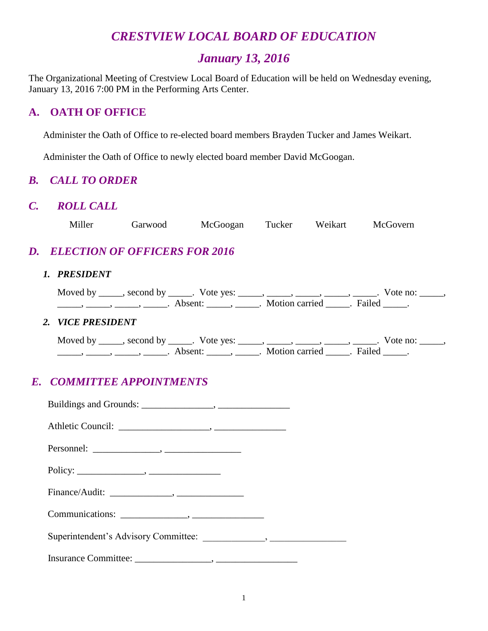# *CRESTVIEW LOCAL BOARD OF EDUCATION*

# *January 13, 2016*

The Organizational Meeting of Crestview Local Board of Education will be held on Wednesday evening, January 13, 2016 7:00 PM in the Performing Arts Center.

### **A. OATH OF OFFICE**

Administer the Oath of Office to re-elected board members Brayden Tucker and James Weikart.

Administer the Oath of Office to newly elected board member David McGoogan.

### *B. CALL TO ORDER*

#### *C. ROLL CALL*

| Miller | Garwood | McGoogan | Tucker | Weikart | McGovern |
|--------|---------|----------|--------|---------|----------|
|        |         |          |        |         |          |

# *D. ELECTION OF OFFICERS FOR 2016*

#### *1. PRESIDENT*

| Moved by | second by | Vote yes: |                |        | $\sqrt{\circ}$ te no: |
|----------|-----------|-----------|----------------|--------|-----------------------|
|          |           | A bsent   | Motion carried | Failec |                       |

#### *2. VICE PRESIDENT*

| Moved by | second by | Vote yes: |                |        | vote no: |
|----------|-----------|-----------|----------------|--------|----------|
|          |           | Absent.   | Motion carried | Failed |          |

# *E. COMMITTEE APPOINTMENTS*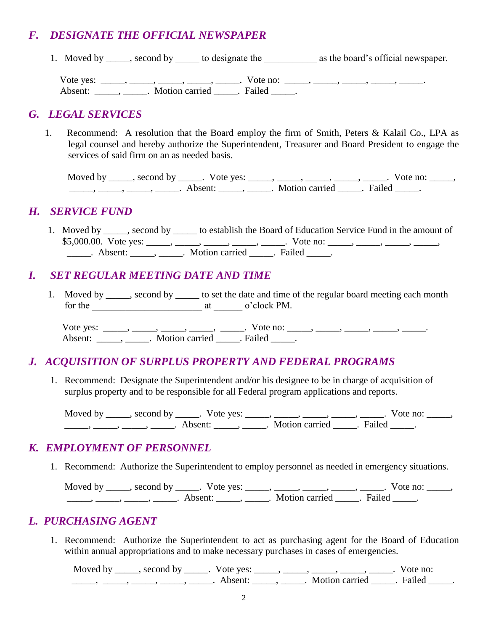# *F. DESIGNATE THE OFFICIAL NEWSPAPER*

1. Moved by \_\_\_\_\_, second by \_\_\_\_\_ to designate the \_\_\_\_\_\_\_\_\_\_\_\_\_ as the board's official newspaper.

Vote yes: \_\_\_\_\_, \_\_\_\_\_, \_\_\_\_\_, \_\_\_\_\_, Vote no: \_\_\_\_\_, \_\_\_\_\_, \_\_\_\_\_, \_\_\_\_\_, \_\_\_\_\_\_, Absent: \_\_\_\_\_\_, \_\_\_\_\_\_. Motion carried \_\_\_\_\_\_. Failed \_\_\_\_\_.

### *G. LEGAL SERVICES*

1. Recommend: A resolution that the Board employ the firm of Smith, Peters & Kalail Co., LPA as legal counsel and hereby authorize the Superintendent, Treasurer and Board President to engage the services of said firm on an as needed basis.

Moved by \_\_\_\_\_, second by \_\_\_\_\_. Vote yes: \_\_\_\_\_, \_\_\_\_\_, \_\_\_\_\_, \_\_\_\_\_, \_\_\_\_. Vote no: \_\_\_\_\_, \_\_\_\_\_, \_\_\_\_\_, \_\_\_\_\_, \_\_\_\_\_. Absent: \_\_\_\_\_, \_\_\_\_\_. Motion carried \_\_\_\_\_. Failed \_\_\_\_\_.

### *H. SERVICE FUND*

1. Moved by \_\_\_\_\_, second by \_\_\_\_\_ to establish the Board of Education Service Fund in the amount of \$5,000.00. Vote yes: \_\_\_\_\_, \_\_\_\_, \_\_\_\_, \_\_\_\_, \_\_\_\_, Vote no: \_\_\_\_, \_\_\_\_, \_\_\_\_, \_\_\_\_, \_\_\_\_, \_\_\_\_\_. Absent: \_\_\_\_\_, \_\_\_\_\_. Motion carried \_\_\_\_\_. Failed \_\_\_\_\_.

# *I. SET REGULAR MEETING DATE AND TIME*

1. Moved by \_\_\_\_\_, second by \_\_\_\_\_ to set the date and time of the regular board meeting each month for the at a control of  $\alpha$  at  $\alpha$  o'clock PM.

Vote yes: \_\_\_\_\_, \_\_\_\_\_, \_\_\_\_\_, \_\_\_\_\_, Vote no: \_\_\_\_, \_\_\_\_, \_\_\_\_, \_\_\_\_, \_\_\_\_\_, \_\_\_\_\_\_ Absent: \_\_\_\_\_\_, \_\_\_\_\_\_. Motion carried \_\_\_\_\_\_. Failed \_\_\_\_\_.

# *J. ACQUISITION OF SURPLUS PROPERTY AND FEDERAL PROGRAMS*

1. Recommend: Designate the Superintendent and/or his designee to be in charge of acquisition of surplus property and to be responsible for all Federal program applications and reports.

Moved by \_\_\_\_\_, second by \_\_\_\_\_. Vote yes: \_\_\_\_\_, \_\_\_\_\_, \_\_\_\_\_, \_\_\_\_\_, \_\_\_\_\_. Vote no: \_\_\_\_\_, \_\_\_\_\_, \_\_\_\_\_, \_\_\_\_\_, \_\_\_\_\_. Absent: \_\_\_\_\_, \_\_\_\_\_. Motion carried \_\_\_\_\_. Failed \_\_\_\_\_.

### *K. EMPLOYMENT OF PERSONNEL*

1. Recommend: Authorize the Superintendent to employ personnel as needed in emergency situations.

Moved by \_\_\_\_\_, second by \_\_\_\_\_. Vote yes: \_\_\_\_\_, \_\_\_\_\_, \_\_\_\_\_, \_\_\_\_\_, \_\_\_\_\_. Vote no: \_\_\_\_\_, \_\_\_\_\_, \_\_\_\_\_, \_\_\_\_\_, \_\_\_\_\_. Absent: \_\_\_\_\_, \_\_\_\_\_. Motion carried \_\_\_\_\_. Failed \_\_\_\_\_.

### *L. PURCHASING AGENT*

1. Recommend: Authorize the Superintendent to act as purchasing agent for the Board of Education within annual appropriations and to make necessary purchases in cases of emergencies.

Moved by \_\_\_\_\_, second by \_\_\_\_\_. Vote yes: \_\_\_\_\_, \_\_\_\_\_, \_\_\_\_\_, \_\_\_\_\_, \_\_\_\_. Vote no: \_\_\_\_\_, \_\_\_\_\_, \_\_\_\_\_, \_\_\_\_\_, \_\_\_\_\_. Absent: \_\_\_\_\_, \_\_\_\_\_. Motion carried \_\_\_\_\_. Failed \_\_\_\_\_.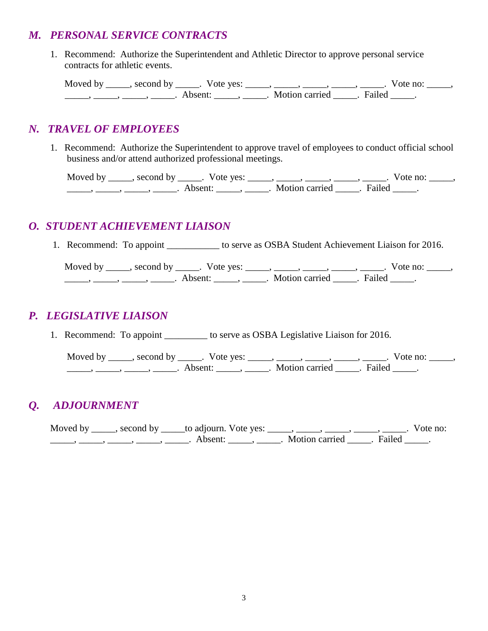### *M. PERSONAL SERVICE CONTRACTS*

1. Recommend: Authorize the Superintendent and Athletic Director to approve personal service contracts for athletic events.

Moved by \_\_\_\_\_, second by \_\_\_\_\_. Vote yes: \_\_\_\_\_, \_\_\_\_\_, \_\_\_\_\_, \_\_\_\_\_, \_\_\_\_\_. Vote no: \_\_\_\_\_, \_\_\_\_\_, \_\_\_\_\_, \_\_\_\_\_, \_\_\_\_\_. Absent: \_\_\_\_\_, \_\_\_\_\_. Motion carried \_\_\_\_\_. Failed \_\_\_\_\_.

# *N. TRAVEL OF EMPLOYEES*

 1. Recommend: Authorize the Superintendent to approve travel of employees to conduct official school business and/or attend authorized professional meetings.

Moved by \_\_\_\_\_, second by \_\_\_\_\_. Vote yes: \_\_\_\_\_, \_\_\_\_\_, \_\_\_\_\_, \_\_\_\_\_, \_\_\_\_\_. Vote no: \_\_\_\_\_, \_\_\_\_\_, \_\_\_\_\_, \_\_\_\_\_, \_\_\_\_\_. Absent: \_\_\_\_\_, \_\_\_\_\_. Motion carried \_\_\_\_\_. Failed \_\_\_\_\_.

### *O. STUDENT ACHIEVEMENT LIAISON*

1. Recommend: To appoint \_\_\_\_\_\_\_\_\_\_\_ to serve as OSBA Student Achievement Liaison for 2016.

Moved by \_\_\_\_\_, second by \_\_\_\_\_. Vote yes: \_\_\_\_\_, \_\_\_\_\_, \_\_\_\_\_, \_\_\_\_\_, \_\_\_\_\_. Vote no: \_\_\_\_\_, \_\_\_\_\_, \_\_\_\_\_, \_\_\_\_\_, \_\_\_\_\_. Absent: \_\_\_\_\_, \_\_\_\_\_. Motion carried \_\_\_\_\_. Failed \_\_\_\_\_.

# *P. LEGISLATIVE LIAISON*

1. Recommend: To appoint \_\_\_\_\_\_\_\_\_\_ to serve as OSBA Legislative Liaison for 2016.

Moved by \_\_\_\_\_, second by \_\_\_\_\_. Vote yes: \_\_\_\_\_, \_\_\_\_\_, \_\_\_\_\_, \_\_\_\_\_, \_\_\_\_\_. Vote no: \_\_\_\_\_, \_\_\_\_\_, \_\_\_\_\_, \_\_\_\_\_, \_\_\_\_\_. Absent: \_\_\_\_\_, \_\_\_\_\_. Motion carried \_\_\_\_\_. Failed \_\_\_\_\_.

# *Q. ADJOURNMENT*

Moved by \_\_\_\_, second by \_\_\_\_\_to adjourn. Vote yes: \_\_\_\_\_, \_\_\_\_\_, \_\_\_\_\_, \_\_\_\_\_, \_\_\_\_\_. Vote no: \_\_\_\_\_\_\_, \_\_\_\_\_\_, \_\_\_\_\_\_, \_\_\_\_\_\_\_. Absent: \_\_\_\_\_\_, \_\_\_\_\_\_. Motion carried \_\_\_\_\_. Failed \_\_\_\_\_.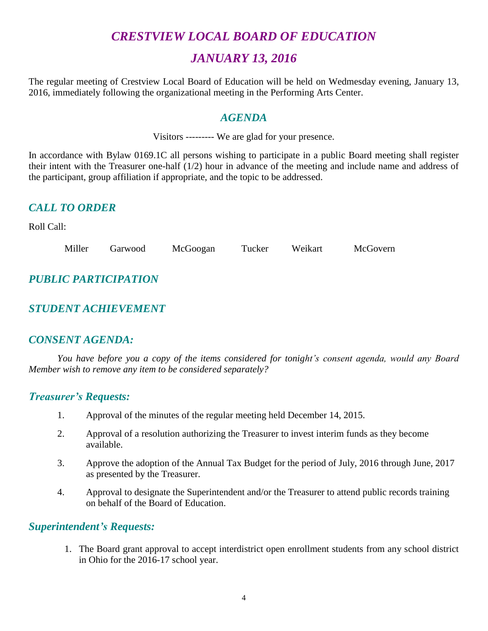# *CRESTVIEW LOCAL BOARD OF EDUCATION*

# *JANUARY 13, 2016*

The regular meeting of Crestview Local Board of Education will be held on Wedmesday evening, January 13, 2016, immediately following the organizational meeting in the Performing Arts Center.

### *AGENDA*

Visitors --------- We are glad for your presence.

In accordance with Bylaw 0169.1C all persons wishing to participate in a public Board meeting shall register their intent with the Treasurer one-half (1/2) hour in advance of the meeting and include name and address of the participant, group affiliation if appropriate, and the topic to be addressed.

### *CALL TO ORDER*

Roll Call:

| Miller | Garwood | McGoogan | Tucker | Weikart | McGovern |
|--------|---------|----------|--------|---------|----------|
|        |         |          |        |         |          |

# *PUBLIC PARTICIPATION*

# *STUDENT ACHIEVEMENT*

### *CONSENT AGENDA:*

*You have before you a copy of the items considered for tonight's consent agenda, would any Board Member wish to remove any item to be considered separately?*

#### *Treasurer's Requests:*

- 1. Approval of the minutes of the regular meeting held December 14, 2015.
- 2. Approval of a resolution authorizing the Treasurer to invest interim funds as they become available.
- 3. Approve the adoption of the Annual Tax Budget for the period of July, 2016 through June, 2017 as presented by the Treasurer.
- 4. Approval to designate the Superintendent and/or the Treasurer to attend public records training on behalf of the Board of Education.

### *Superintendent's Requests:*

1. The Board grant approval to accept interdistrict open enrollment students from any school district in Ohio for the 2016-17 school year.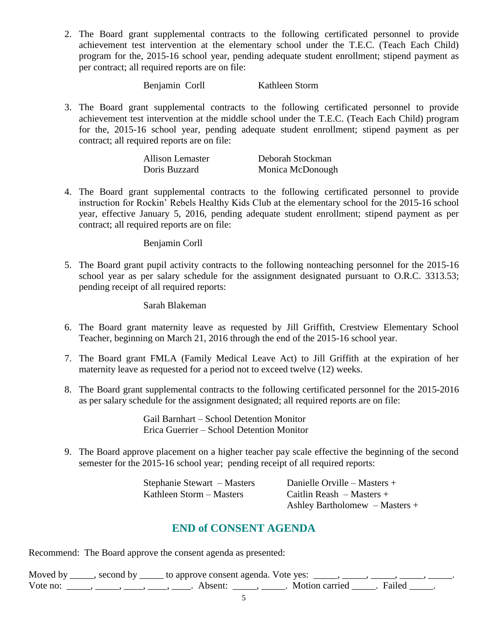2. The Board grant supplemental contracts to the following certificated personnel to provide achievement test intervention at the elementary school under the T.E.C. (Teach Each Child) program for the, 2015-16 school year, pending adequate student enrollment; stipend payment as per contract; all required reports are on file:

Benjamin Corll Kathleen Storm

3. The Board grant supplemental contracts to the following certificated personnel to provide achievement test intervention at the middle school under the T.E.C. (Teach Each Child) program for the, 2015-16 school year, pending adequate student enrollment; stipend payment as per contract; all required reports are on file:

| Allison Lemaster | Deborah Stockman |
|------------------|------------------|
| Doris Buzzard    | Monica McDonough |

4. The Board grant supplemental contracts to the following certificated personnel to provide instruction for Rockin' Rebels Healthy Kids Club at the elementary school for the 2015-16 school year, effective January 5, 2016, pending adequate student enrollment; stipend payment as per contract; all required reports are on file:

Benjamin Corll

5. The Board grant pupil activity contracts to the following nonteaching personnel for the 2015-16 school year as per salary schedule for the assignment designated pursuant to O.R.C. 3313.53; pending receipt of all required reports:

Sarah Blakeman

- 6. The Board grant maternity leave as requested by Jill Griffith, Crestview Elementary School Teacher, beginning on March 21, 2016 through the end of the 2015-16 school year.
- 7. The Board grant FMLA (Family Medical Leave Act) to Jill Griffith at the expiration of her maternity leave as requested for a period not to exceed twelve (12) weeks.
- 8. The Board grant supplemental contracts to the following certificated personnel for the 2015-2016 as per salary schedule for the assignment designated; all required reports are on file:

Gail Barnhart – School Detention Monitor Erica Guerrier – School Detention Monitor

9. The Board approve placement on a higher teacher pay scale effective the beginning of the second semester for the 2015-16 school year; pending receipt of all required reports:

> Stephanie Stewart – Masters Danielle Orville – Masters + Kathleen Storm – Masters Caitlin Reash – Masters +

Ashley Bartholomew – Masters +

### **END of CONSENT AGENDA**

Recommend: The Board approve the consent agenda as presented:

| Moved by | second by ______ to approve consent agenda. Vote yes: |                         |  |
|----------|-------------------------------------------------------|-------------------------|--|
| Vote no: | Absent <sup>.</sup>                                   | Motion carried . Failed |  |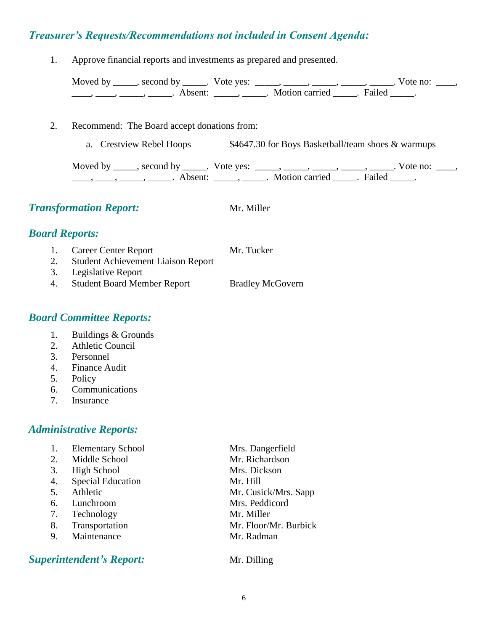### *Treasurer's Requests/Recommendations not included in Consent Agenda:*

1. Approve financial reports and investments as prepared and presented.

| Moved by second by | Note yes: | $\sim$ $\sim$ $\sim$ $\sim$ $\sim$ $\sim$ | Vote no: |  |
|--------------------|-----------|-------------------------------------------|----------|--|
| Absent:            |           | Motion carried Failed                     |          |  |

- 2. Recommend: The Board accept donations from:
	- a. Crestview Rebel Hoops \$4647.30 for Boys Basketball/team shoes & warmups

Moved by \_\_\_\_\_, second by \_\_\_\_\_. Vote yes:  $\frac{1}{\sqrt{2}}$ , \_\_\_\_, \_\_\_\_, \_\_\_\_, \_\_\_\_. Vote no: \_\_\_, \_\_\_\_\_, \_\_\_\_\_\_, \_\_\_\_\_\_\_. Absent: \_\_\_\_\_\_, \_\_\_\_\_\_. Motion carried \_\_\_\_\_\_. Failed \_\_\_\_\_.

|                       | <b>Transformation Report:</b>             | Mr. Miller |  |  |
|-----------------------|-------------------------------------------|------------|--|--|
| <b>Board Reports:</b> |                                           |            |  |  |
|                       | Career Center Report                      | Mr. Tucker |  |  |
| 2.                    | <b>Student Achievement Liaison Report</b> |            |  |  |
| 3.                    | Legislative Report                        |            |  |  |
|                       | $\sim$ $\sim$ $\sim$ $\sim$ $\sim$ $\sim$ |            |  |  |

4. Student Board Member Report Bradley McGovern

### *Board Committee Reports:*

- 1. Buildings & Grounds
- 2. Athletic Council
- 3. Personnel
- 4. Finance Audit
- 5. Policy
- 6. Communications
- 7. Insurance

### *Administrative Reports:*

1. Elementary School Mrs. Dangerfield 2. Middle School Mr. Richardson 3. High School Mrs. Dickson 4. Special Education Mr. Hill 5. Athletic Mr. Cusick/Mrs. Sapp 6. Lunchroom Mrs. Peddicord 7. Technology Mr. Miller 8. Transportation Mr. Floor/Mr. Burbick 9. Maintenance Mr. Radman

### **Superintendent's Report:** Mr. Dilling